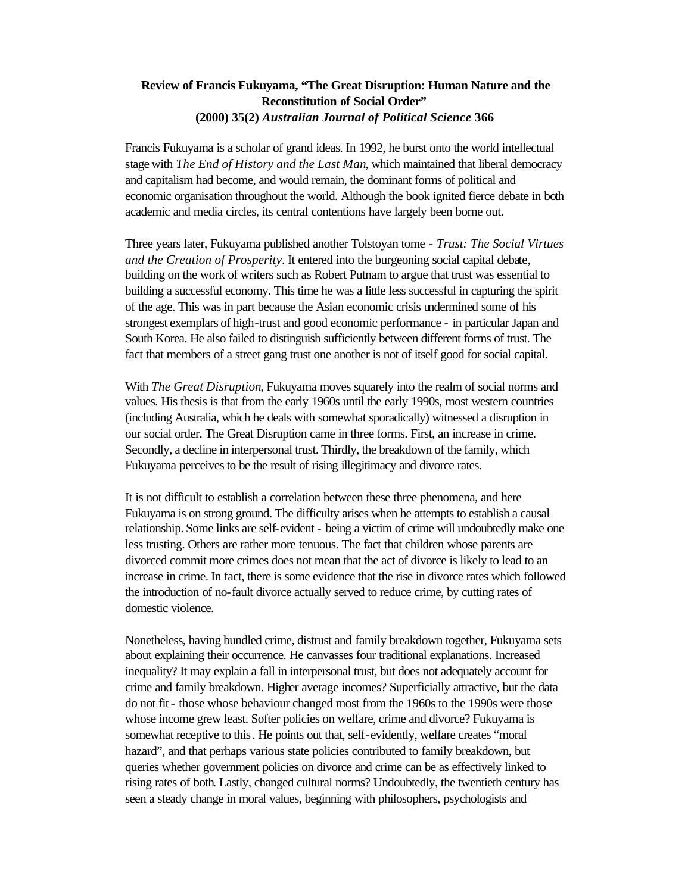## **Review of Francis Fukuyama, "The Great Disruption: Human Nature and the Reconstitution of Social Order" (2000) 35(2)** *Australian Journal of Political Science* **366**

Francis Fukuyama is a scholar of grand ideas. In 1992, he burst onto the world intellectual stage with *The End of History and the Last Man*, which maintained that liberal democracy and capitalism had become, and would remain, the dominant forms of political and economic organisation throughout the world. Although the book ignited fierce debate in both academic and media circles, its central contentions have largely been borne out.

Three years later, Fukuyama published another Tolstoyan tome - *Trust: The Social Virtues and the Creation of Prosperity*. It entered into the burgeoning social capital debate, building on the work of writers such as Robert Putnam to argue that trust was essential to building a successful economy. This time he was a little less successful in capturing the spirit of the age. This was in part because the Asian economic crisis undermined some of his strongest exemplars of high-trust and good economic performance - in particular Japan and South Korea. He also failed to distinguish sufficiently between different forms of trust. The fact that members of a street gang trust one another is not of itself good for social capital.

With *The Great Disruption*, Fukuyama moves squarely into the realm of social norms and values. His thesis is that from the early 1960s until the early 1990s, most western countries (including Australia, which he deals with somewhat sporadically) witnessed a disruption in our social order. The Great Disruption came in three forms. First, an increase in crime. Secondly, a decline in interpersonal trust. Thirdly, the breakdown of the family, which Fukuyama perceives to be the result of rising illegitimacy and divorce rates.

It is not difficult to establish a correlation between these three phenomena, and here Fukuyama is on strong ground. The difficulty arises when he attempts to establish a causal relationship. Some links are self-evident - being a victim of crime will undoubtedly make one less trusting. Others are rather more tenuous. The fact that children whose parents are divorced commit more crimes does not mean that the act of divorce is likely to lead to an increase in crime. In fact, there is some evidence that the rise in divorce rates which followed the introduction of no-fault divorce actually served to reduce crime, by cutting rates of domestic violence.

Nonetheless, having bundled crime, distrust and family breakdown together, Fukuyama sets about explaining their occurrence. He canvasses four traditional explanations. Increased inequality? It may explain a fall in interpersonal trust, but does not adequately account for crime and family breakdown. Higher average incomes? Superficially attractive, but the data do not fit - those whose behaviour changed most from the 1960s to the 1990s were those whose income grew least. Softer policies on welfare, crime and divorce? Fukuyama is somewhat receptive to this. He points out that, self-evidently, welfare creates "moral hazard", and that perhaps various state policies contributed to family breakdown, but queries whether government policies on divorce and crime can be as effectively linked to rising rates of both. Lastly, changed cultural norms? Undoubtedly, the twentieth century has seen a steady change in moral values, beginning with philosophers, psychologists and